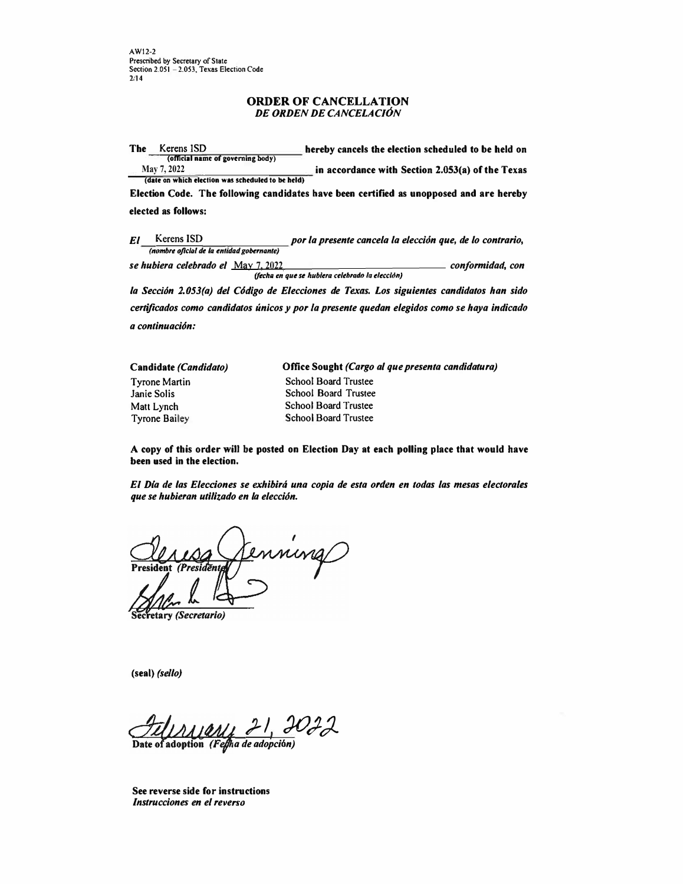**AWl2-2**  Prescribed by Secretary of State Section 2.051 - 2.053, Texas Election Code 2fl4

# **ORDER OF CANCELLATION**  *DE ORDEN DE CANCELACION*

The Kerens ISD hereby cancels the election scheduled to be held on **(official name of governing body)**<br>May 7, 2022 in accordance with Section 2.053(a) of the Texas

**(date on which election was scheduled to be held)** Election Code. The following candidates have been certified as unopposed and are hereby

#### elected as follows:

*El* Kerens ISD *por la presente cance/a la e/eccion que, de lo contrario, (nombre oficial de la entidad gobernante)* 

*se hubiera ce/ebrado* **e/ May 7, 2022** *conformidad, con (/tch11 en que se hub/era celebradtJ la elecclon)* 

*la Seccion 2.053(a) de/ Codigo de E/ecciones de Texas. Los siguientes candidatos han sido*  certificados como candidatos únicos y por la presente quedan elegidos como se haya indicado *a continuacion:* 

**Candidate** *(Candidato)*  **Tyrone Martin Janie Solis Matt Lynch Tyrone Bailey**  Office Sought *(Cargo al que presenta candidatura)*  **School Board Trustee Schoo1 Board Trustee School Board Trustee School Board Trustee** 

A copy of **this** order **will be posted on** Election **Day at each polling** place **that** would have **been used in the election.** 

*El Dia de las Elecciones se exhibira una copia de esta orden en todas las mesas electorales que se hubieran utilizado en la eleccion.* 

Jenning

etary *(Secretario)* 

**(seal)** *(sello)* 

*),/ JO)). a de adopci6n)* 

See reverse side for instructions *lnstrucciones en el reverso*